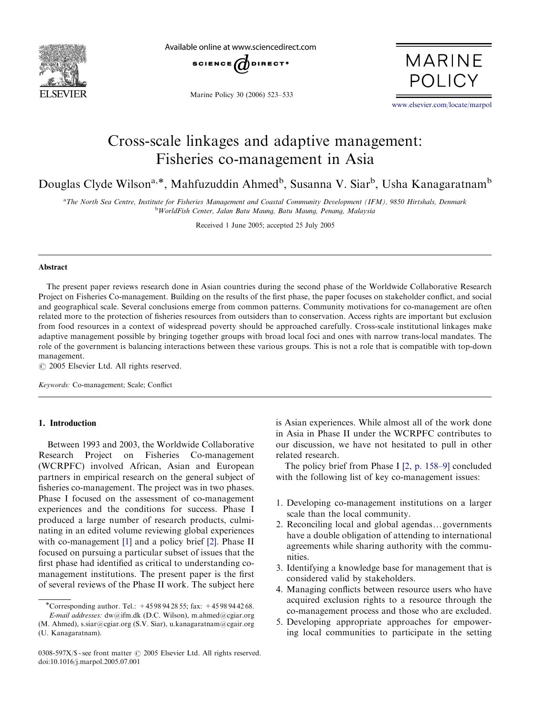

Available online at www.sciencedirect.com



Marine Policy 30 (2006) 523–533

**MARINE POLICY** 

<www.elsevier.com/locate/marpol>

## Cross-scale linkages and adaptive management: Fisheries co-management in Asia

Douglas Clyde Wilson<sup>a,\*</sup>, Mahfuzuddin Ahmed<sup>b</sup>, Susanna V. Siar<sup>b</sup>, Usha Kanagaratnam<sup>b</sup>

a The North Sea Centre, Institute for Fisheries Management and Coastal Community Development (IFM), 9850 Hirtshals, Denmark <sup>b</sup>WorldFish Center, Jalan Batu Maung, Batu Maung, Penang, Malaysia

Received 1 June 2005; accepted 25 July 2005

#### Abstract

The present paper reviews research done in Asian countries during the second phase of the Worldwide Collaborative Research Project on Fisheries Co-management. Building on the results of the first phase, the paper focuses on stakeholder conflict, and social and geographical scale. Several conclusions emerge from common patterns. Community motivations for co-management are often related more to the protection of fisheries resources from outsiders than to conservation. Access rights are important but exclusion from food resources in a context of widespread poverty should be approached carefully. Cross-scale institutional linkages make adaptive management possible by bringing together groups with broad local foci and ones with narrow trans-local mandates. The role of the government is balancing interactions between these various groups. This is not a role that is compatible with top-down management.

 $C$  2005 Elsevier Ltd. All rights reserved.

Keywords: Co-management; Scale; Conflict

## 1. Introduction

Between 1993 and 2003, the Worldwide Collaborative Research Project on Fisheries Co-management (WCRPFC) involved African, Asian and European partners in empirical research on the general subject of fisheries co-management. The project was in two phases. Phase I focused on the assessment of co-management experiences and the conditions for success. Phase I produced a large number of research products, culminating in an edited volume reviewing global experiences with co-management [\[1\]](#page--1-0) and a policy brief [\[2\].](#page--1-0) Phase II focused on pursuing a particular subset of issues that the first phase had identified as critical to understanding comanagement institutions. The present paper is the first of several reviews of the Phase II work. The subject here

is Asian experiences. While almost all of the work done in Asia in Phase II under the WCRPFC contributes to our discussion, we have not hesitated to pull in other related research.

The policy brief from Phase I [\[2, p. 158–9\]](#page--1-0) concluded with the following list of key co-management issues:

- 1. Developing co-management institutions on a larger scale than the local community.
- 2. Reconciling local and global agendas...governments have a double obligation of attending to international agreements while sharing authority with the communities.
- 3. Identifying a knowledge base for management that is considered valid by stakeholders.
- 4. Managing conflicts between resource users who have acquired exclusion rights to a resource through the co-management process and those who are excluded.
- 5. Developing appropriate approaches for empowering local communities to participate in the setting

Corresponding author. Tel.: +45 98 94 28 55; fax: +45 98 94 42 68. E-mail addresses: dw@ifm.dk (D.C. Wilson), m.ahmed@cgiar.org (M. Ahmed), s.siar@cgiar.org (S.V. Siar), u.kanagaratnam@cgair.org

<sup>(</sup>U. Kanagaratnam).

<sup>0308-597</sup>X/\$ - see front matter  $\odot$  2005 Elsevier Ltd. All rights reserved. doi:10.1016/j.marpol.2005.07.001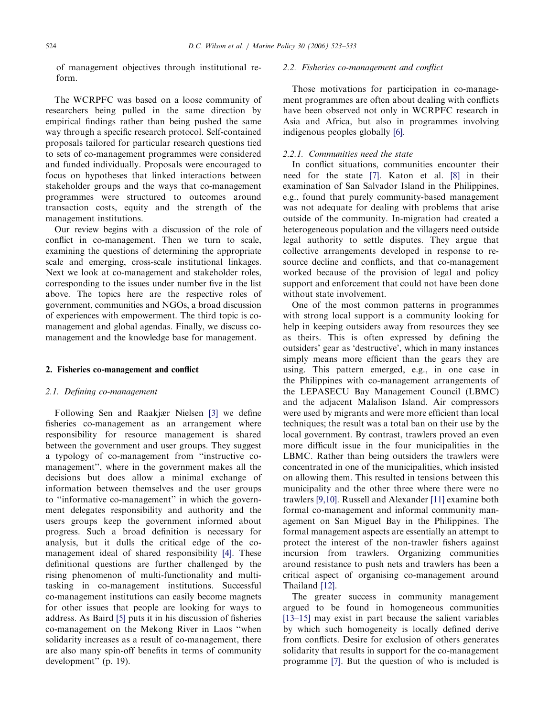of management objectives through institutional reform.

The WCRPFC was based on a loose community of researchers being pulled in the same direction by empirical findings rather than being pushed the same way through a specific research protocol. Self-contained proposals tailored for particular research questions tied to sets of co-management programmes were considered and funded individually. Proposals were encouraged to focus on hypotheses that linked interactions between stakeholder groups and the ways that co-management programmes were structured to outcomes around transaction costs, equity and the strength of the management institutions.

Our review begins with a discussion of the role of conflict in co-management. Then we turn to scale, examining the questions of determining the appropriate scale and emerging, cross-scale institutional linkages. Next we look at co-management and stakeholder roles, corresponding to the issues under number five in the list above. The topics here are the respective roles of government, communities and NGOs, a broad discussion of experiences with empowerment. The third topic is comanagement and global agendas. Finally, we discuss comanagement and the knowledge base for management.

#### 2. Fisheries co-management and conflict

#### 2.1. Defining co-management

Following Sen and Raakjær Nielsen [\[3\]](#page--1-0) we define fisheries co-management as an arrangement where responsibility for resource management is shared between the government and user groups. They suggest a typology of co-management from ''instructive comanagement'', where in the government makes all the decisions but does allow a minimal exchange of information between themselves and the user groups to ''informative co-management'' in which the government delegates responsibility and authority and the users groups keep the government informed about progress. Such a broad definition is necessary for analysis, but it dulls the critical edge of the comanagement ideal of shared responsibility [\[4\].](#page--1-0) These definitional questions are further challenged by the rising phenomenon of multi-functionality and multitasking in co-management institutions. Successful co-management institutions can easily become magnets for other issues that people are looking for ways to address. As Baird [\[5\]](#page--1-0) puts it in his discussion of fisheries co-management on the Mekong River in Laos ''when solidarity increases as a result of co-management, there are also many spin-off benefits in terms of community development'' (p. 19).

### 2.2. Fisheries co-management and conflict

Those motivations for participation in co-management programmes are often about dealing with conflicts have been observed not only in WCRPFC research in Asia and Africa, but also in programmes involving indigenous peoples globally [\[6\].](#page--1-0)

### 2.2.1. Communities need the state

In conflict situations, communities encounter their need for the state [\[7\].](#page--1-0) Katon et al. [\[8\]](#page--1-0) in their examination of San Salvador Island in the Philippines, e.g., found that purely community-based management was not adequate for dealing with problems that arise outside of the community. In-migration had created a heterogeneous population and the villagers need outside legal authority to settle disputes. They argue that collective arrangements developed in response to resource decline and conflicts, and that co-management worked because of the provision of legal and policy support and enforcement that could not have been done without state involvement.

One of the most common patterns in programmes with strong local support is a community looking for help in keeping outsiders away from resources they see as theirs. This is often expressed by defining the outsiders' gear as 'destructive', which in many instances simply means more efficient than the gears they are using. This pattern emerged, e.g., in one case in the Philippines with co-management arrangements of the LEPASECU Bay Management Council (LBMC) and the adjacent Malalison Island. Air compressors were used by migrants and were more efficient than local techniques; the result was a total ban on their use by the local government. By contrast, trawlers proved an even more difficult issue in the four municipalities in the LBMC. Rather than being outsiders the trawlers were concentrated in one of the municipalities, which insisted on allowing them. This resulted in tensions between this municipality and the other three where there were no trawlers [\[9,10\]](#page--1-0). Russell and Alexander [\[11\]](#page--1-0) examine both formal co-management and informal community management on San Miguel Bay in the Philippines. The formal management aspects are essentially an attempt to protect the interest of the non-trawler fishers against incursion from trawlers. Organizing communities around resistance to push nets and trawlers has been a critical aspect of organising co-management around Thailand [\[12\].](#page--1-0)

The greater success in community management argued to be found in homogeneous communities [\[13–15\]](#page--1-0) may exist in part because the salient variables by which such homogeneity is locally defined derive from conflicts. Desire for exclusion of others generates solidarity that results in support for the co-management programme [\[7\]](#page--1-0). But the question of who is included is